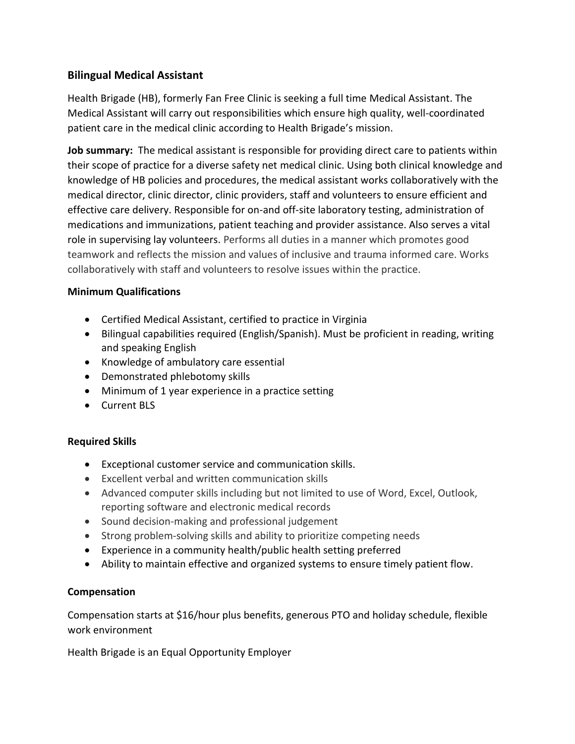## **Bilingual Medical Assistant**

Health Brigade (HB), formerly Fan Free Clinic is seeking a full time Medical Assistant. The Medical Assistant will carry out responsibilities which ensure high quality, well-coordinated patient care in the medical clinic according to Health Brigade's mission.

**Job summary:** The medical assistant is responsible for providing direct care to patients within their scope of practice for a diverse safety net medical clinic. Using both clinical knowledge and knowledge of HB policies and procedures, the medical assistant works collaboratively with the medical director, clinic director, clinic providers, staff and volunteers to ensure efficient and effective care delivery. Responsible for on-and off-site laboratory testing, administration of medications and immunizations, patient teaching and provider assistance. Also serves a vital role in supervising lay volunteers. Performs all duties in a manner which promotes good teamwork and reflects the mission and values of inclusive and trauma informed care. Works collaboratively with staff and volunteers to resolve issues within the practice.

### **Minimum Qualifications**

- Certified Medical Assistant, certified to practice in Virginia
- Bilingual capabilities required (English/Spanish). Must be proficient in reading, writing and speaking English
- Knowledge of ambulatory care essential
- Demonstrated phlebotomy skills
- Minimum of 1 year experience in a practice setting
- Current BLS

### **Required Skills**

- Exceptional customer service and communication skills.
- Excellent verbal and written communication skills
- Advanced computer skills including but not limited to use of Word, Excel, Outlook, reporting software and electronic medical records
- Sound decision-making and professional judgement
- Strong problem-solving skills and ability to prioritize competing needs
- Experience in a community health/public health setting preferred
- Ability to maintain effective and organized systems to ensure timely patient flow.

### **Compensation**

Compensation starts at \$16/hour plus benefits, generous PTO and holiday schedule, flexible work environment

Health Brigade is an Equal Opportunity Employer